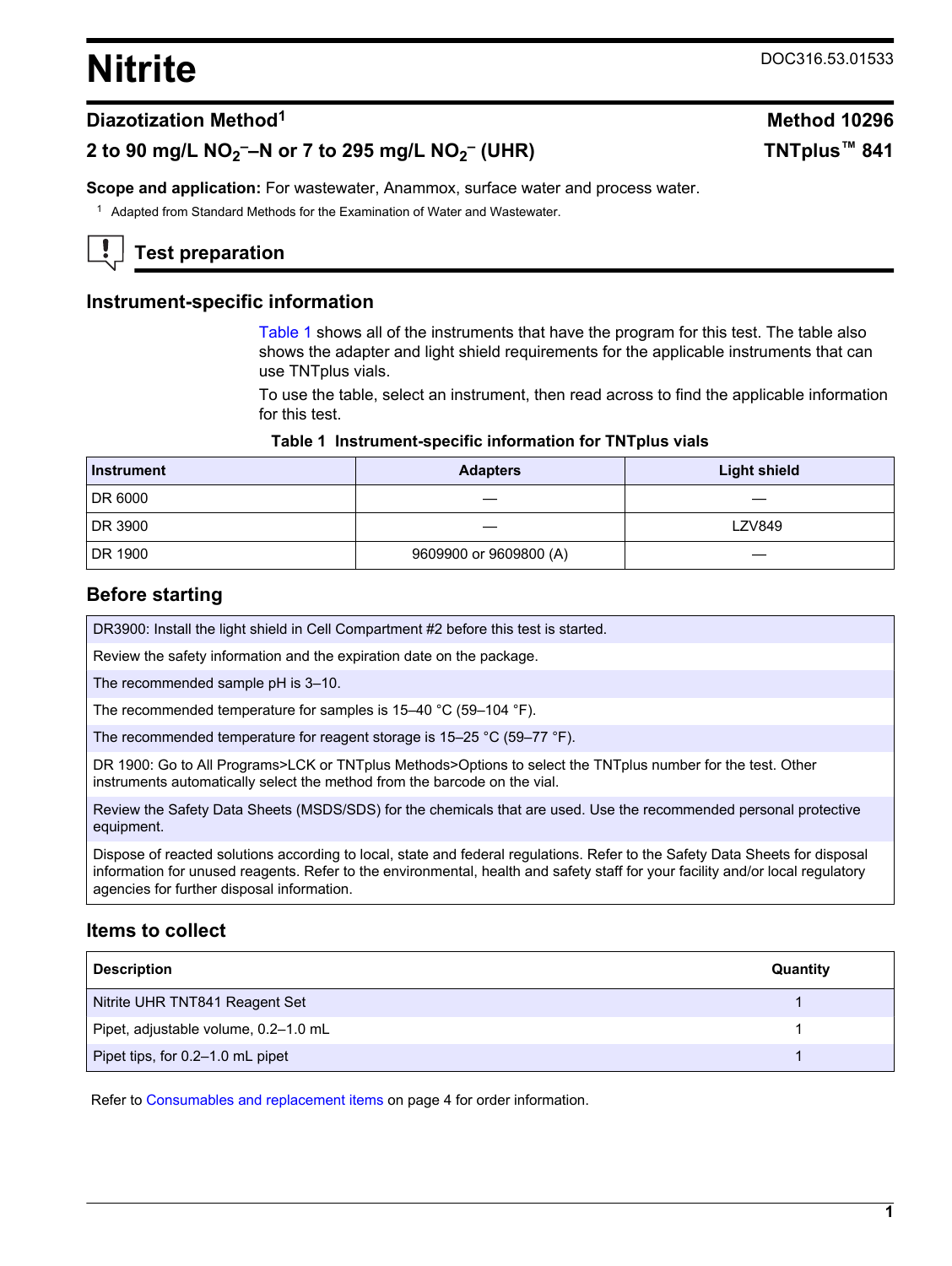# <span id="page-0-0"></span>**Nitrite** DOC316.53.01533

 **(UHR) TNTplus™ 841**

#### **Diazotization Method<sup>1</sup> Method 10296**

# **2 to 90 mg/L NO<sup>2</sup> ––N or 7 to 295 mg/L NO<sup>2</sup> –**

**Scope and application:** For wastewater, Anammox, surface water and process water.

<sup>1</sup> Adapted from Standard Methods for the Examination of Water and Wastewater.

# **Test preparation**

#### **Instrument-specific information**

Table 1 shows all of the instruments that have the program for this test. The table also shows the adapter and light shield requirements for the applicable instruments that can use TNTplus vials.

To use the table, select an instrument, then read across to find the applicable information for this test.

#### **Table 1 Instrument-specific information for TNTplus vials**

| <b>Instrument</b> | <b>Adapters</b>        | <b>Light shield</b> |
|-------------------|------------------------|---------------------|
| DR 6000           |                        |                     |
| DR 3900           |                        | <b>LZV849</b>       |
| DR 1900           | 9609900 or 9609800 (A) |                     |

#### **Before starting**

DR3900: Install the light shield in Cell Compartment #2 before this test is started.

Review the safety information and the expiration date on the package.

The recommended sample pH is 3–10.

The recommended temperature for samples is 15–40 °C (59–104 °F).

The recommended temperature for reagent storage is 15–25 °C (59–77 °F).

DR 1900: Go to All Programs>LCK or TNTplus Methods>Options to select the TNTplus number for the test. Other instruments automatically select the method from the barcode on the vial.

Review the Safety Data Sheets (MSDS/SDS) for the chemicals that are used. Use the recommended personal protective equipment.

Dispose of reacted solutions according to local, state and federal regulations. Refer to the Safety Data Sheets for disposal information for unused reagents. Refer to the environmental, health and safety staff for your facility and/or local regulatory agencies for further disposal information.

#### **Items to collect**

| <b>Description</b>                   | Quantity |
|--------------------------------------|----------|
| Nitrite UHR TNT841 Reagent Set       |          |
| Pipet, adjustable volume, 0.2-1.0 mL |          |
| Pipet tips, for 0.2-1.0 mL pipet     |          |

Refer to [Consumables and replacement items](#page-3-0) on page 4 for order information.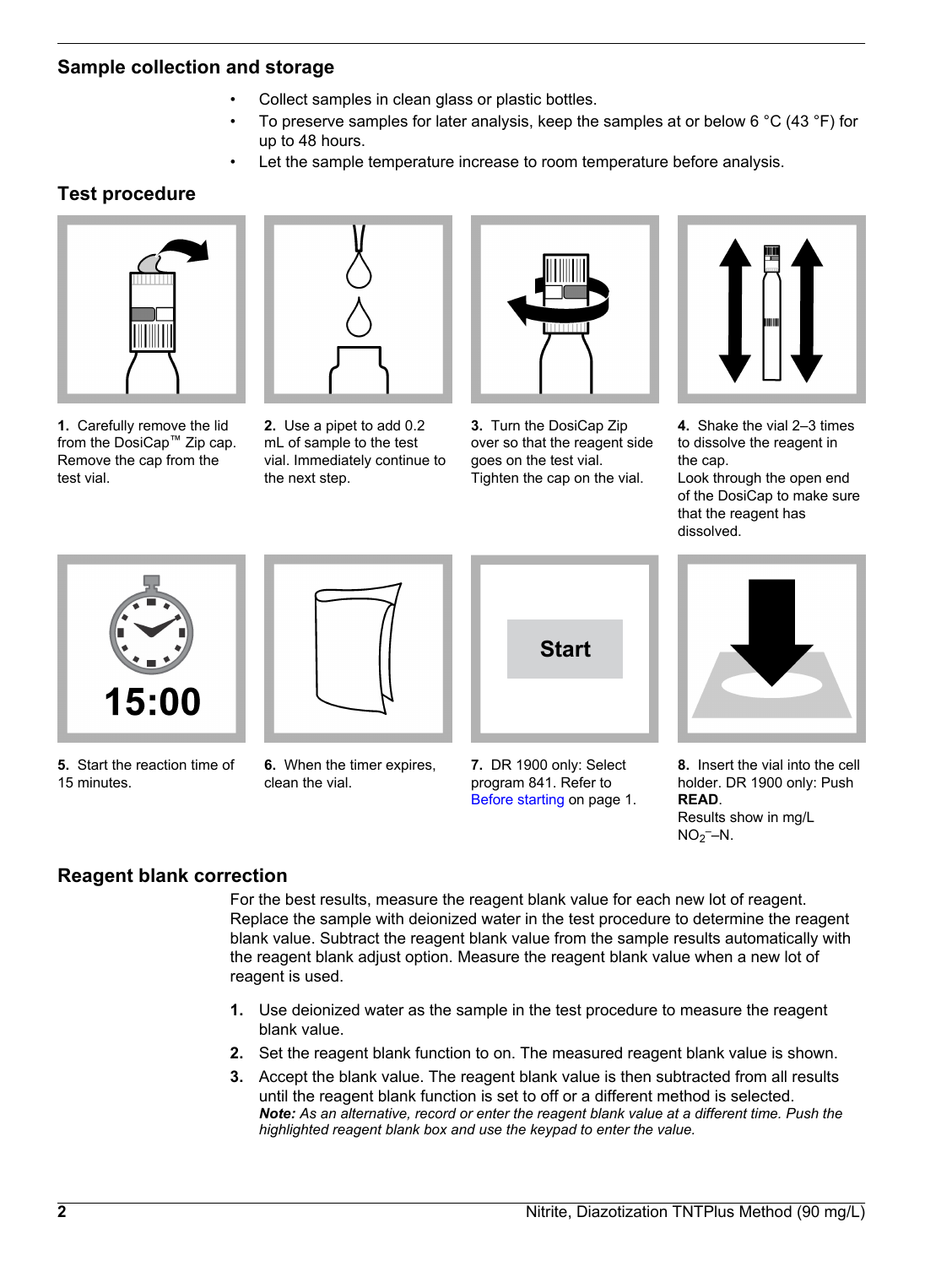## **Sample collection and storage**

- Collect samples in clean glass or plastic bottles.
- To preserve samples for later analysis, keep the samples at or below 6  $^{\circ}$ C (43  $^{\circ}$ F) for up to 48 hours.
- Let the sample temperature increase to room temperature before analysis.

## **Test procedure**



**1.** Carefully remove the lid from the DosiCap™ Zip cap. Remove the cap from the test vial.



**2.** Use a pipet to add 0.2 mL of sample to the test vial. Immediately continue to the next step.



**3.** Turn the DosiCap Zip over so that the reagent side goes on the test vial. Tighten the cap on the vial.



**4.** Shake the vial 2–3 times to dissolve the reagent in the cap.

Look through the open end of the DosiCap to make sure that the reagent has dissolved.



**5.** Start the reaction time of 15 minutes.



**6.** When the timer expires, clean the vial.





**8.** Insert the vial into the cell holder. DR 1900 only: Push **READ**. Results show in mg/L  $NO<sub>2</sub>$ -N.

## **Reagent blank correction**

For the best results, measure the reagent blank value for each new lot of reagent. Replace the sample with deionized water in the test procedure to determine the reagent blank value. Subtract the reagent blank value from the sample results automatically with the reagent blank adjust option. Measure the reagent blank value when a new lot of reagent is used.

program 841. Refer to [Before starting](#page-0-0) on page 1.

- **1.** Use deionized water as the sample in the test procedure to measure the reagent blank value.
- **2.** Set the reagent blank function to on. The measured reagent blank value is shown.
- **3.** Accept the blank value. The reagent blank value is then subtracted from all results until the reagent blank function is set to off or a different method is selected. *Note: As an alternative, record or enter the reagent blank value at a different time. Push the highlighted reagent blank box and use the keypad to enter the value.*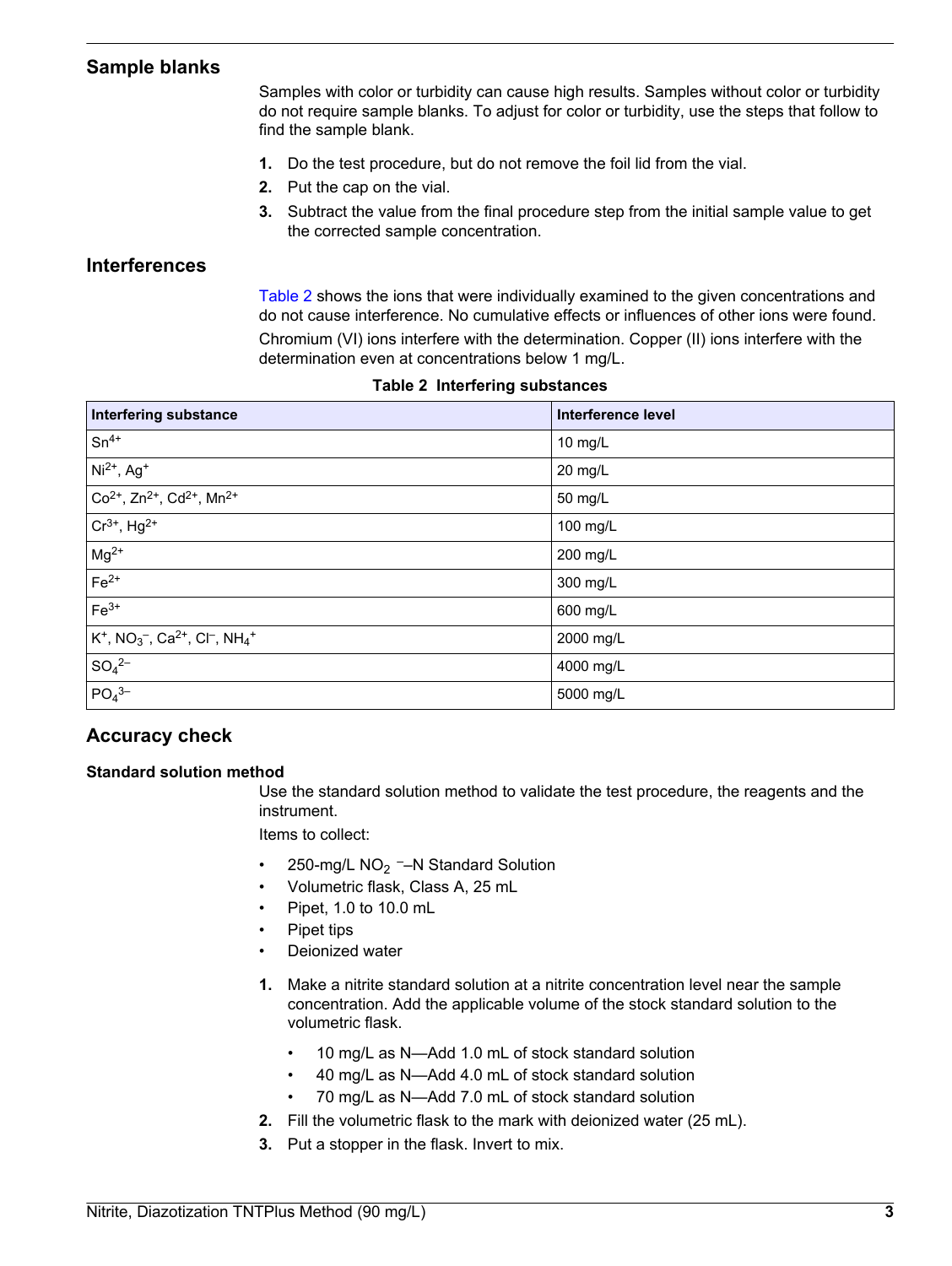## **Sample blanks**

Samples with color or turbidity can cause high results. Samples without color or turbidity do not require sample blanks. To adjust for color or turbidity, use the steps that follow to find the sample blank.

- **1.** Do the test procedure, but do not remove the foil lid from the vial.
- **2.** Put the cap on the vial.
- **3.** Subtract the value from the final procedure step from the initial sample value to get the corrected sample concentration.

#### **Interferences**

Table 2 shows the ions that were individually examined to the given concentrations and do not cause interference. No cumulative effects or influences of other ions were found. Chromium (VI) ions interfere with the determination. Copper (II) ions interfere with the determination even at concentrations below 1 mg/L.

| <b>Interfering substance</b>                                                                             | <b>Interference level</b> |
|----------------------------------------------------------------------------------------------------------|---------------------------|
| $Sn^{4+}$                                                                                                | 10 mg/L                   |
| $Ni2+, Ag+$                                                                                              | $20$ mg/L                 |
| $Co2+, Zn2+, Cd2+, Mn2+$                                                                                 | 50 mg/L                   |
| $Cr^{3+}$ , Hg <sup>2+</sup>                                                                             | 100 mg/L                  |
| $Mg^{2+}$                                                                                                | 200 mg/L                  |
| $Fe2+$                                                                                                   | 300 mg/L                  |
| $Fe3+$                                                                                                   | 600 mg/L                  |
| $K^+$ , NO <sub>3</sub> <sup>-</sup> , Ca <sup>2+</sup> , Cl <sup>-</sup> , NH <sub>4</sub> <sup>+</sup> | 2000 mg/L                 |
| $SO_4{}^{2-}$                                                                                            | 4000 mg/L                 |
| PO <sub>4</sub> <sup>3–</sup>                                                                            | 5000 mg/L                 |

#### **Table 2 Interfering substances**

## **Accuracy check**

#### **Standard solution method**

Use the standard solution method to validate the test procedure, the reagents and the instrument.

Items to collect:

- 250-mg/L  $NO<sub>2</sub>$  –N Standard Solution
- Volumetric flask, Class A, 25 mL
- Pipet, 1.0 to 10.0 mL
- Pipet tips
- Deionized water
- **1.** Make a nitrite standard solution at a nitrite concentration level near the sample concentration. Add the applicable volume of the stock standard solution to the volumetric flask.
	- 10 mg/L as N—Add 1.0 mL of stock standard solution
	- 40 mg/L as N—Add 4.0 mL of stock standard solution
	- 70 mg/L as N—Add 7.0 mL of stock standard solution
- **2.** Fill the volumetric flask to the mark with deionized water (25 mL).
- **3.** Put a stopper in the flask. Invert to mix.